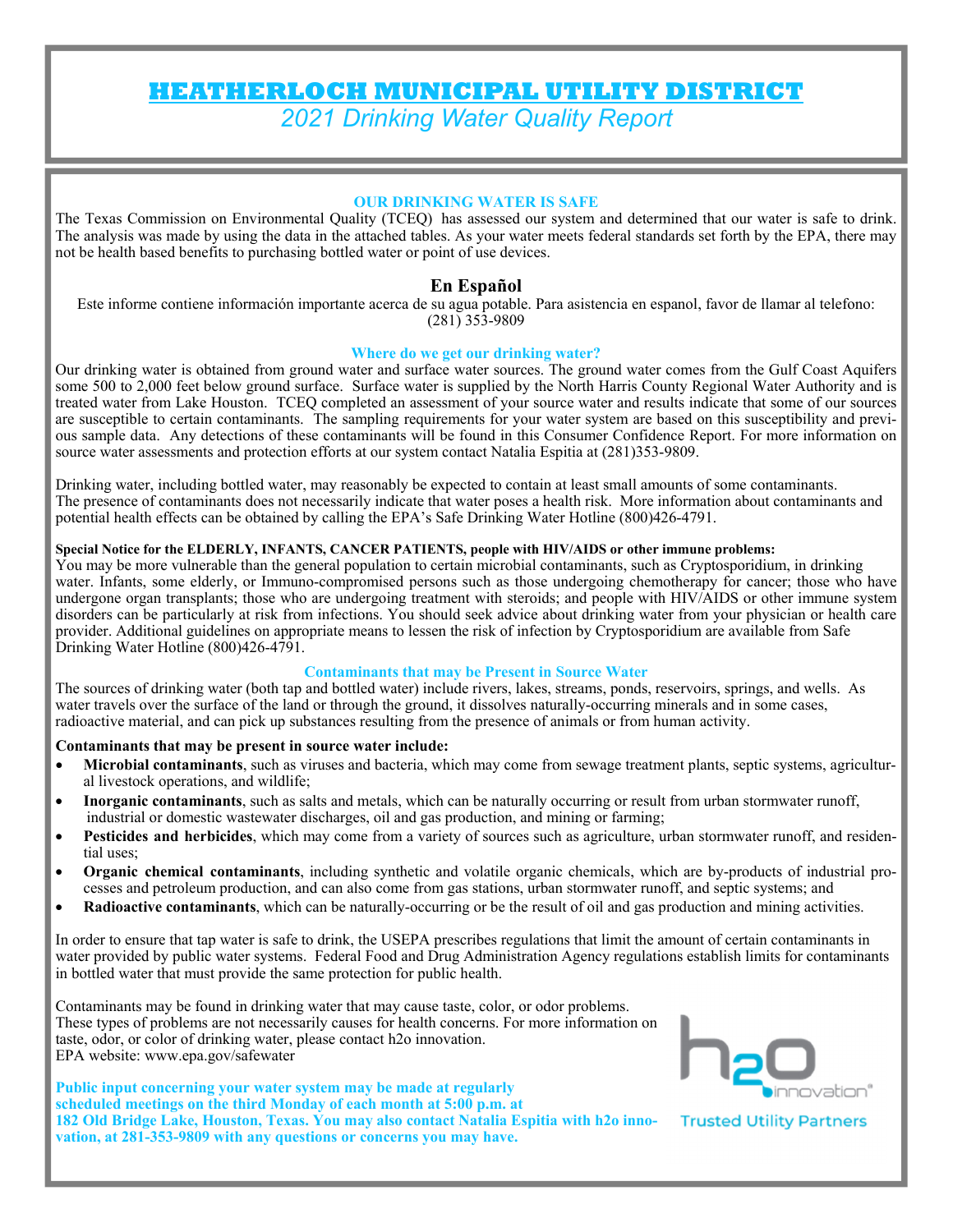# **HEATHERLOCH MUNICIPAL UTILITY DISTRICT**  *2021 Drinking Water Quality Report*

#### **OUR DRINKING WATER IS SAFE**

The Texas Commission on Environmental Quality (TCEQ) has assessed our system and determined that our water is safe to drink. The analysis was made by using the data in the attached tables. As your water meets federal standards set forth by the EPA, there may not be health based benefits to purchasing bottled water or point of use devices.

### **En Español**

Este informe contiene información importante acerca de su agua potable. Para asistencia en espanol, favor de llamar al telefono: (281) 353-9809

#### **Where do we get our drinking water?**

Our drinking water is obtained from ground water and surface water sources. The ground water comes from the Gulf Coast Aquifers some 500 to 2,000 feet below ground surface. Surface water is supplied by the North Harris County Regional Water Authority and is treated water from Lake Houston. TCEQ completed an assessment of your source water and results indicate that some of our sources are susceptible to certain contaminants. The sampling requirements for your water system are based on this susceptibility and previous sample data. Any detections of these contaminants will be found in this Consumer Confidence Report. For more information on source water assessments and protection efforts at our system contact Natalia Espitia at (281)353-9809.

Drinking water, including bottled water, may reasonably be expected to contain at least small amounts of some contaminants. The presence of contaminants does not necessarily indicate that water poses a health risk. More information about contaminants and potential health effects can be obtained by calling the EPA's Safe Drinking Water Hotline (800)426-4791.

### **Special Notice for the ELDERLY, INFANTS, CANCER PATIENTS, people with HIV/AIDS or other immune problems:**

You may be more vulnerable than the general population to certain microbial contaminants, such as Cryptosporidium, in drinking water. Infants, some elderly, or Immuno-compromised persons such as those undergoing chemotherapy for cancer; those who have undergone organ transplants; those who are undergoing treatment with steroids; and people with HIV/AIDS or other immune system disorders can be particularly at risk from infections. You should seek advice about drinking water from your physician or health care provider. Additional guidelines on appropriate means to lessen the risk of infection by Cryptosporidium are available from Safe Drinking Water Hotline (800)426-4791.

#### **Contaminants that may be Present in Source Water**

The sources of drinking water (both tap and bottled water) include rivers, lakes, streams, ponds, reservoirs, springs, and wells. As water travels over the surface of the land or through the ground, it dissolves naturally-occurring minerals and in some cases, radioactive material, and can pick up substances resulting from the presence of animals or from human activity.

#### **Contaminants that may be present in source water include:**

- **Microbial contaminants**, such as viruses and bacteria, which may come from sewage treatment plants, septic systems, agricultural livestock operations, and wildlife;
- **Inorganic contaminants**, such as salts and metals, which can be naturally occurring or result from urban stormwater runoff, industrial or domestic wastewater discharges, oil and gas production, and mining or farming;
- **Pesticides and herbicides**, which may come from a variety of sources such as agriculture, urban stormwater runoff, and residential uses;
- **Organic chemical contaminants**, including synthetic and volatile organic chemicals, which are by-products of industrial processes and petroleum production, and can also come from gas stations, urban stormwater runoff, and septic systems; and
- **Radioactive contaminants**, which can be naturally-occurring or be the result of oil and gas production and mining activities.

In order to ensure that tap water is safe to drink, the USEPA prescribes regulations that limit the amount of certain contaminants in water provided by public water systems. Federal Food and Drug Administration Agency regulations establish limits for contaminants in bottled water that must provide the same protection for public health.

Contaminants may be found in drinking water that may cause taste, color, or odor problems. These types of problems are not necessarily causes for health concerns. For more information on taste, odor, or color of drinking water, please contact h2o innovation. EPA website: www.epa.gov/safewater

**Public input concerning your water system may be made at regularly scheduled meetings on the third Monday of each month at 5:00 p.m. at 182 Old Bridge Lake, Houston, Texas. You may also contact Natalia Espitia with h2o innovation, at 281-353-9809 with any questions or concerns you may have.** 



**Trusted Utility Partners**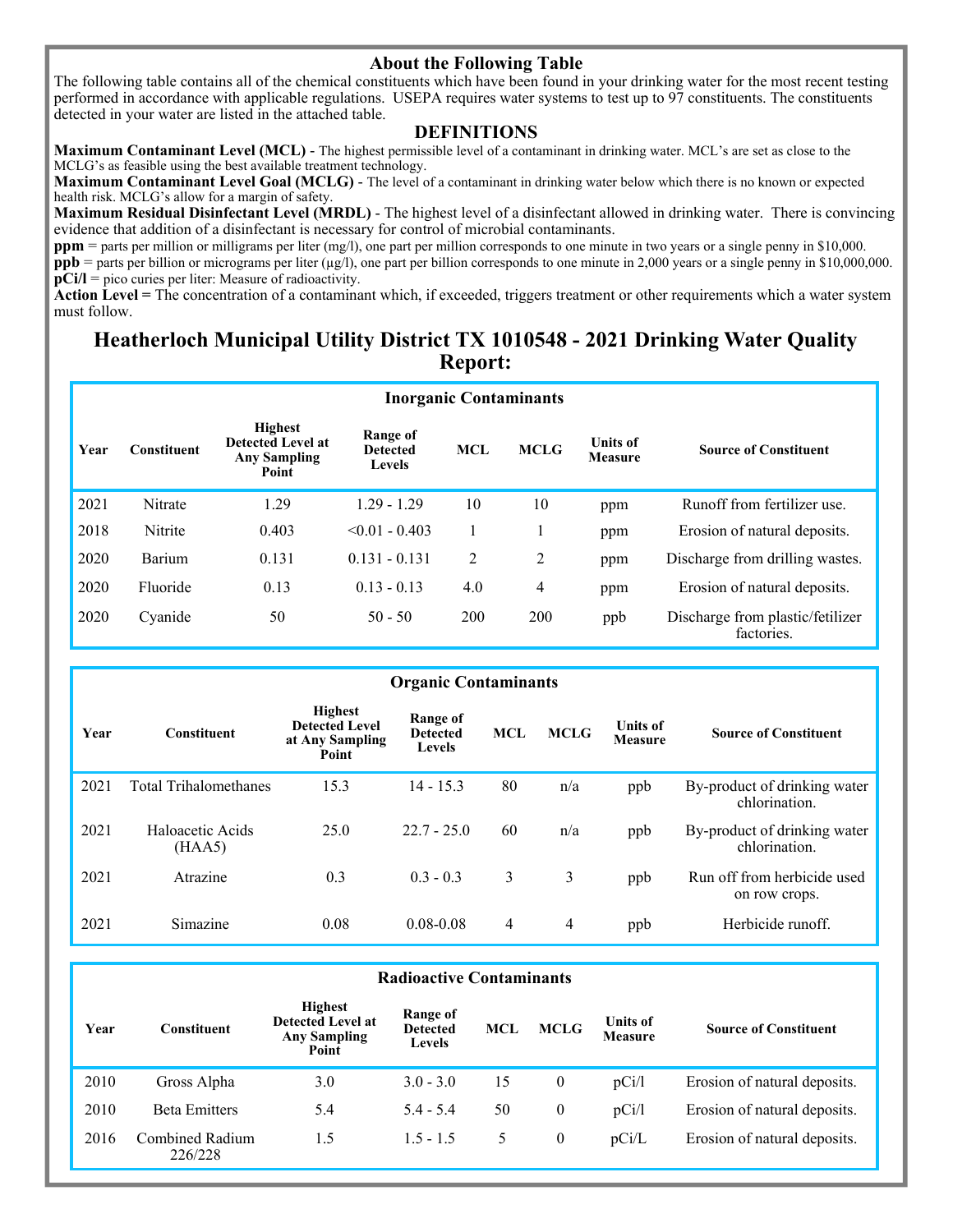### **About the Following Table**

The following table contains all of the chemical constituents which have been found in your drinking water for the most recent testing performed in accordance with applicable regulations. USEPA requires water systems to test up to 97 constituents. The constituents detected in your water are listed in the attached table.

### **DEFINITIONS**

**Maximum Contaminant Level (MCL)** - The highest permissible level of a contaminant in drinking water. MCL's are set as close to the MCLG's as feasible using the best available treatment technology.

**Maximum Contaminant Level Goal (MCLG)** - The level of a contaminant in drinking water below which there is no known or expected health risk. MCLG's allow for a margin of safety.

**Maximum Residual Disinfectant Level (MRDL)** - The highest level of a disinfectant allowed in drinking water. There is convincing evidence that addition of a disinfectant is necessary for control of microbial contaminants.

**ppm** = parts per million or milligrams per liter (mg/l), one part per million corresponds to one minute in two years or a single penny in \$10,000.

**ppb** = parts per billion or micrograms per liter ( $\mu$ g/l), one part per billion corresponds to one minute in 2,000 years or a single penny in \$10,000,000. **pCi/l** = pico curies per liter: Measure of radioactivity.

**Action Level =** The concentration of a contaminant which, if exceeded, triggers treatment or other requirements which a water system must follow.

## **Heatherloch Municipal Utility District TX 1010548 - 2021 Drinking Water Quality Report:**

|      | <b>Inorganic Contaminants</b> |                                                                            |                                              |            |             |                                   |                                                |  |  |  |
|------|-------------------------------|----------------------------------------------------------------------------|----------------------------------------------|------------|-------------|-----------------------------------|------------------------------------------------|--|--|--|
| Year | <b>Constituent</b>            | <b>Highest</b><br><b>Detected Level at</b><br><b>Any Sampling</b><br>Point | Range of<br><b>Detected</b><br><b>Levels</b> | <b>MCL</b> | <b>MCLG</b> | <b>Units of</b><br><b>Measure</b> | <b>Source of Constituent</b>                   |  |  |  |
| 2021 | Nitrate                       | 1.29                                                                       | $1.29 - 1.29$                                | 10         | 10          | ppm                               | Runoff from fertilizer use.                    |  |  |  |
| 2018 | Nitrite                       | 0.403                                                                      | $< 0.01 - 0.403$                             |            |             | ppm                               | Erosion of natural deposits.                   |  |  |  |
| 2020 | Barium                        | 0.131                                                                      | $0.131 - 0.131$                              | 2          | 2           | ppm                               | Discharge from drilling wastes.                |  |  |  |
| 2020 | Fluoride                      | 0.13                                                                       | $0.13 - 0.13$                                | 4.0        | 4           | ppm                               | Erosion of natural deposits.                   |  |  |  |
| 2020 | Cyanide                       | 50                                                                         | $50 - 50$                                    | 200        | 200         | ppb                               | Discharge from plastic/fetilizer<br>factories. |  |  |  |

| <b>Organic Contaminants</b> |                              |                                                                     |                                              |            |             |                                   |                                               |  |
|-----------------------------|------------------------------|---------------------------------------------------------------------|----------------------------------------------|------------|-------------|-----------------------------------|-----------------------------------------------|--|
| Year                        | <b>Constituent</b>           | <b>Highest</b><br><b>Detected Level</b><br>at Any Sampling<br>Point | Range of<br><b>Detected</b><br><b>Levels</b> | <b>MCL</b> | <b>MCLG</b> | <b>Units of</b><br><b>Measure</b> | <b>Source of Constituent</b>                  |  |
| 2021                        | <b>Total Trihalomethanes</b> | 15.3                                                                | $14 - 15.3$                                  | 80         | n/a         | ppb                               | By-product of drinking water<br>chlorination. |  |
| 2021                        | Haloacetic Acids<br>(HAA5)   | 25.0                                                                | $22.7 - 25.0$                                | 60         | n/a         | ppb                               | By-product of drinking water<br>chlorination. |  |
| 2021                        | Atrazine                     | 0.3                                                                 | $0.3 - 0.3$                                  | 3          | 3           | ppb                               | Run off from herbicide used<br>on row crops.  |  |
| 2021                        | Simazine                     | 0.08                                                                | $0.08 - 0.08$                                | 4          | 4           | ppb                               | Herbicide runoff.                             |  |

#### **Year Constituent Highest Detected Level at Any Sampling Point Range of Detected Levels MCL MCLG Units of Measure Source of Constituent**  2010 Gross Alpha 3.0 3.0 - 3.0 15 0 pCi/l Erosion of natural deposits. 2010 Beta Emitters 5.4 5.4 - 5.4 50 0 pCi/l Erosion of natural deposits. **Radioactive Contaminants**  2016 Combined Radium 226/228 1.5 1.5 - 1.5 5 0 pCi/L Erosion of natural deposits.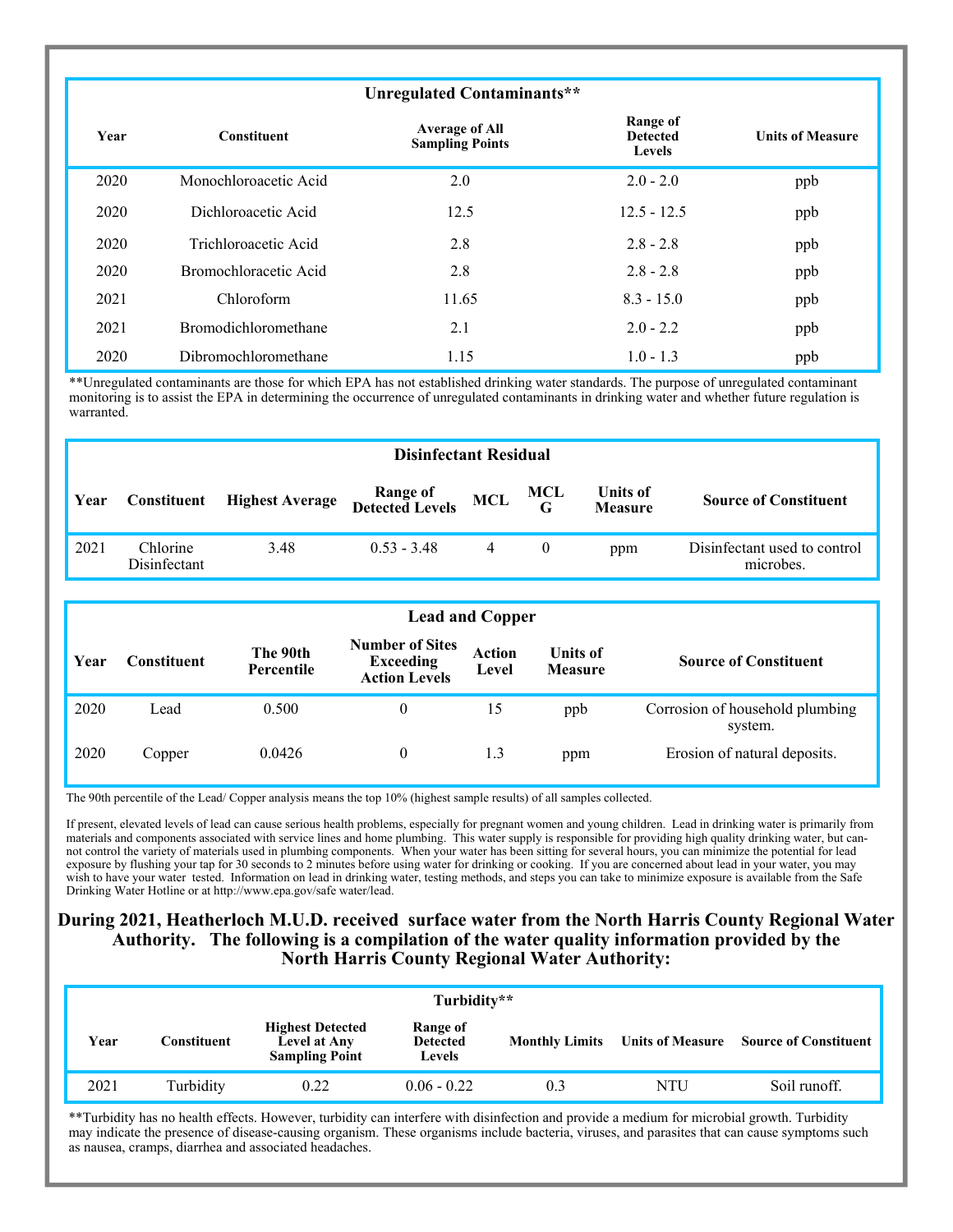|      |                       | Unregulated Contaminants**                      |                                              |                         |
|------|-----------------------|-------------------------------------------------|----------------------------------------------|-------------------------|
| Year | <b>Constituent</b>    | <b>Average of All</b><br><b>Sampling Points</b> | Range of<br><b>Detected</b><br><b>Levels</b> | <b>Units of Measure</b> |
| 2020 | Monochloroacetic Acid | 2.0                                             | $2.0 - 2.0$                                  | ppb                     |
| 2020 | Dichloroacetic Acid   | 12.5                                            | $12.5 - 12.5$                                | ppb                     |
| 2020 | Trichloroacetic Acid  | 2.8                                             | $2.8 - 2.8$                                  | ppb                     |
| 2020 | Bromochloracetic Acid | 2.8                                             | $2.8 - 2.8$                                  | ppb                     |
| 2021 | Chloroform            | 11.65                                           | $8.3 - 15.0$                                 | ppb                     |
| 2021 | Bromodichloromethane  | 2.1                                             | $2.0 - 2.2$                                  | ppb                     |
| 2020 | Dibromochloromethane  | 1.15                                            | $1.0 - 1.3$                                  | ppb                     |

\*\*Unregulated contaminants are those for which EPA has not established drinking water standards. The purpose of unregulated contaminant monitoring is to assist the EPA in determining the occurrence of unregulated contaminants in drinking water and whether future regulation is warranted.

|      | <b>Disinfectant Residual</b> |                        |                                     |   |                           |                            |                                           |  |  |
|------|------------------------------|------------------------|-------------------------------------|---|---------------------------|----------------------------|-------------------------------------------|--|--|
| Year | Constituent                  | <b>Highest Average</b> | Range of MCL<br>Detected Levels MCL |   | <b>MCL</b><br>$\mathbf G$ | Units of<br><b>Measure</b> | <b>Source of Constituent</b>              |  |  |
| 2021 | Chlorine<br>Disinfectant     | 3.48                   | $0.53 - 3.48$                       | 4 | $\theta$                  | ppm                        | Disinfectant used to control<br>microbes. |  |  |

|      | <b>Lead and Copper</b> |                        |                                                                    |                        |                                   |                                            |  |  |  |
|------|------------------------|------------------------|--------------------------------------------------------------------|------------------------|-----------------------------------|--------------------------------------------|--|--|--|
| Year | Constituent            | The 90th<br>Percentile | <b>Number of Sites</b><br><b>Exceeding</b><br><b>Action Levels</b> | <b>Action</b><br>Level | <b>Units of</b><br><b>Measure</b> | <b>Source of Constituent</b>               |  |  |  |
| 2020 | Lead                   | 0.500                  | $\theta$                                                           | 15                     | ppb                               | Corrosion of household plumbing<br>system. |  |  |  |
| 2020 | Copper                 | 0.0426                 | $\theta$                                                           | 1.3                    | ppm                               | Erosion of natural deposits.               |  |  |  |

The 90th percentile of the Lead/ Copper analysis means the top 10% (highest sample results) of all samples collected.

If present, elevated levels of lead can cause serious health problems, especially for pregnant women and young children. Lead in drinking water is primarily from materials and components associated with service lines and home plumbing. This water supply is responsible for providing high quality drinking water, but cannot control the variety of materials used in plumbing components. When your water has been sitting for several hours, you can minimize the potential for lead exposure by flushing your tap for 30 seconds to 2 minutes before using water for drinking or cooking. If you are concerned about lead in your water, you may wish to have your water tested. Information on lead in drinking water, testing methods, and steps you can take to minimize exposure is available from the Safe Drinking Water Hotline or at http://www.epa.gov/safe water/lead.

### **During 2021, Heatherloch M.U.D. received surface water from the North Harris County Regional Water Authority. The following is a compilation of the water quality information provided by the North Harris County Regional Water Authority:**

| Turbidity** |             |                                                                         |                                       |     |     |                                                              |  |  |  |
|-------------|-------------|-------------------------------------------------------------------------|---------------------------------------|-----|-----|--------------------------------------------------------------|--|--|--|
| Year        | Constituent | <b>Highest Detected</b><br><b>Level at Any</b><br><b>Sampling Point</b> | Range of<br><b>Detected</b><br>Levels |     |     | <b>Monthly Limits</b> Units of Measure Source of Constituent |  |  |  |
| 2021        | Turbidity   | 0.22                                                                    | $0.06 - 0.22$                         | 0.3 | NTU | Soil runoff.                                                 |  |  |  |

\*\*Turbidity has no health effects. However, turbidity can interfere with disinfection and provide a medium for microbial growth. Turbidity may indicate the presence of disease-causing organism. These organisms include bacteria, viruses, and parasites that can cause symptoms such as nausea, cramps, diarrhea and associated headaches.